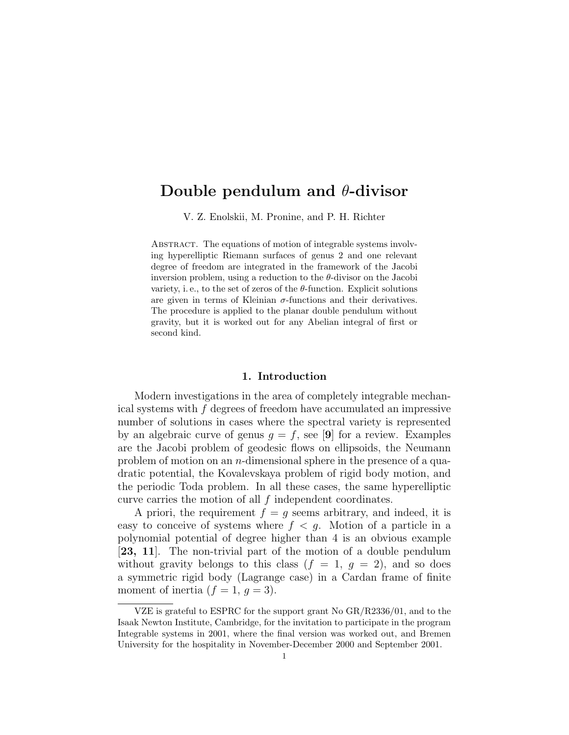# Double pendulum and θ-divisor

V. Z. Enolskii, M. Pronine, and P. H. Richter

ABSTRACT. The equations of motion of integrable systems involving hyperelliptic Riemann surfaces of genus 2 and one relevant degree of freedom are integrated in the framework of the Jacobi inversion problem, using a reduction to the  $\theta$ -divisor on the Jacobi variety, i.e., to the set of zeros of the  $\theta$ -function. Explicit solutions are given in terms of Kleinian  $\sigma$ -functions and their derivatives. The procedure is applied to the planar double pendulum without gravity, but it is worked out for any Abelian integral of first or second kind.

#### 1. Introduction

Modern investigations in the area of completely integrable mechanical systems with f degrees of freedom have accumulated an impressive number of solutions in cases where the spectral variety is represented by an algebraic curve of genus  $g = f$ , see [9] for a review. Examples are the Jacobi problem of geodesic flows on ellipsoids, the Neumann problem of motion on an n-dimensional sphere in the presence of a quadratic potential, the Kovalevskaya problem of rigid body motion, and the periodic Toda problem. In all these cases, the same hyperelliptic curve carries the motion of all  $f$  independent coordinates.

A priori, the requirement  $f = q$  seems arbitrary, and indeed, it is easy to conceive of systems where  $f < g$ . Motion of a particle in a polynomial potential of degree higher than 4 is an obvious example [23, 11]. The non-trivial part of the motion of a double pendulum without gravity belongs to this class  $(f = 1, g = 2)$ , and so does a symmetric rigid body (Lagrange case) in a Cardan frame of finite moment of inertia  $(f = 1, g = 3)$ .

VZE is grateful to ESPRC for the support grant No GR/R2336/01, and to the Isaak Newton Institute, Cambridge, for the invitation to participate in the program Integrable systems in 2001, where the final version was worked out, and Bremen University for the hospitality in November-December 2000 and September 2001.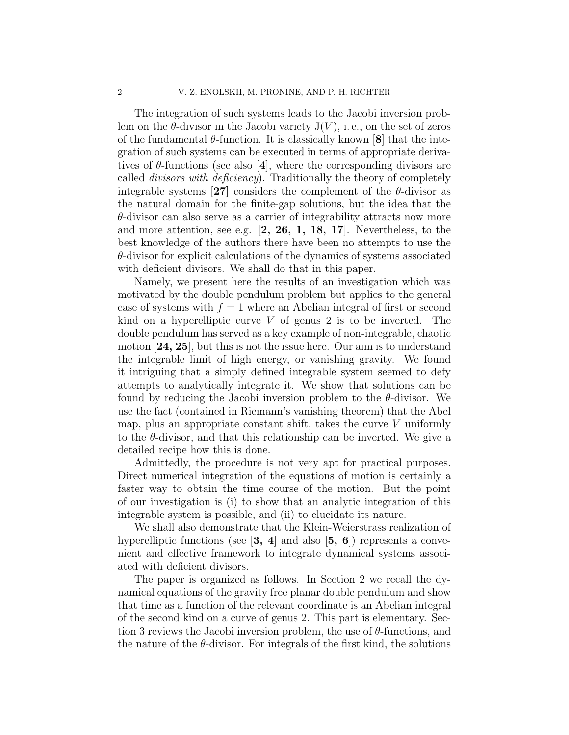The integration of such systems leads to the Jacobi inversion problem on the  $\theta$ -divisor in the Jacobi variety  $J(V)$ , i.e., on the set of zeros of the fundamental  $\theta$ -function. It is classically known  $|8|$  that the integration of such systems can be executed in terms of appropriate derivatives of  $\theta$ -functions (see also [4], where the corresponding divisors are called divisors with deficiency). Traditionally the theory of completely integrable systems [27] considers the complement of the  $\theta$ -divisor as the natural domain for the finite-gap solutions, but the idea that the  $\theta$ -divisor can also serve as a carrier of integrability attracts now more and more attention, see e.g. [2, 26, 1, 18, 17]. Nevertheless, to the best knowledge of the authors there have been no attempts to use the  $\theta$ -divisor for explicit calculations of the dynamics of systems associated with deficient divisors. We shall do that in this paper.

Namely, we present here the results of an investigation which was motivated by the double pendulum problem but applies to the general case of systems with  $f = 1$  where an Abelian integral of first or second kind on a hyperelliptic curve  $V$  of genus 2 is to be inverted. The double pendulum has served as a key example of non-integrable, chaotic motion [24, 25], but this is not the issue here. Our aim is to understand the integrable limit of high energy, or vanishing gravity. We found it intriguing that a simply defined integrable system seemed to defy attempts to analytically integrate it. We show that solutions can be found by reducing the Jacobi inversion problem to the  $\theta$ -divisor. We use the fact (contained in Riemann's vanishing theorem) that the Abel map, plus an appropriate constant shift, takes the curve  $V$  uniformly to the  $\theta$ -divisor, and that this relationship can be inverted. We give a detailed recipe how this is done.

Admittedly, the procedure is not very apt for practical purposes. Direct numerical integration of the equations of motion is certainly a faster way to obtain the time course of the motion. But the point of our investigation is (i) to show that an analytic integration of this integrable system is possible, and (ii) to elucidate its nature.

We shall also demonstrate that the Klein-Weierstrass realization of hyperelliptic functions (see  $\left[3, 4\right]$  and also  $\left[5, 6\right]$ ) represents a convenient and effective framework to integrate dynamical systems associated with deficient divisors.

The paper is organized as follows. In Section 2 we recall the dynamical equations of the gravity free planar double pendulum and show that time as a function of the relevant coordinate is an Abelian integral of the second kind on a curve of genus 2. This part is elementary. Section 3 reviews the Jacobi inversion problem, the use of  $\theta$ -functions, and the nature of the  $\theta$ -divisor. For integrals of the first kind, the solutions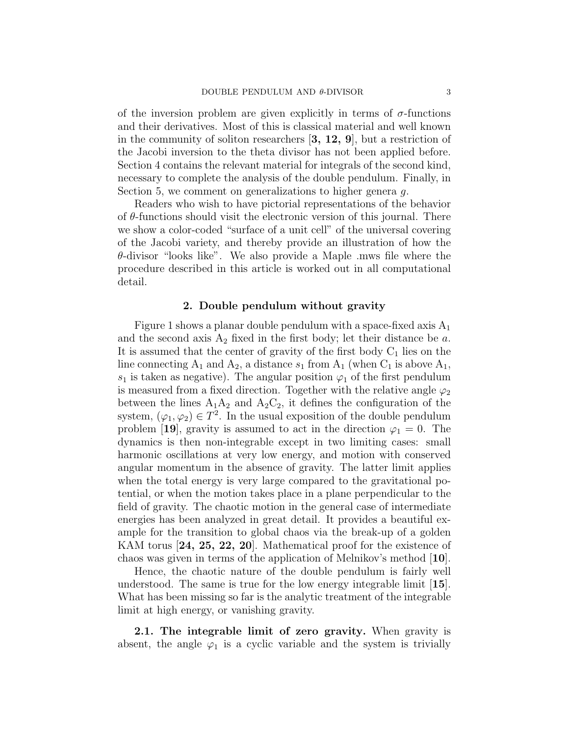of the inversion problem are given explicitly in terms of  $\sigma$ -functions and their derivatives. Most of this is classical material and well known in the community of soliton researchers  $(3, 12, 9)$ , but a restriction of the Jacobi inversion to the theta divisor has not been applied before. Section 4 contains the relevant material for integrals of the second kind, necessary to complete the analysis of the double pendulum. Finally, in Section 5, we comment on generalizations to higher genera q.

Readers who wish to have pictorial representations of the behavior of  $\theta$ -functions should visit the electronic version of this journal. There we show a color-coded "surface of a unit cell" of the universal covering of the Jacobi variety, and thereby provide an illustration of how the  $\theta$ -divisor "looks like". We also provide a Maple .mws file where the procedure described in this article is worked out in all computational detail.

#### 2. Double pendulum without gravity

Figure 1 shows a planar double pendulum with a space-fixed axis  $A_1$ and the second axis  $A_2$  fixed in the first body; let their distance be a. It is assumed that the center of gravity of the first body  $C_1$  lies on the line connecting  $A_1$  and  $A_2$ , a distance  $s_1$  from  $A_1$  (when  $C_1$  is above  $A_1$ ,  $s_1$  is taken as negative). The angular position  $\varphi_1$  of the first pendulum is measured from a fixed direction. Together with the relative angle  $\varphi_2$ between the lines  $A_1A_2$  and  $A_2C_2$ , it defines the configuration of the system,  $(\varphi_1, \varphi_2) \in T^2$ . In the usual exposition of the double pendulum problem [19], gravity is assumed to act in the direction  $\varphi_1 = 0$ . The dynamics is then non-integrable except in two limiting cases: small harmonic oscillations at very low energy, and motion with conserved angular momentum in the absence of gravity. The latter limit applies when the total energy is very large compared to the gravitational potential, or when the motion takes place in a plane perpendicular to the field of gravity. The chaotic motion in the general case of intermediate energies has been analyzed in great detail. It provides a beautiful example for the transition to global chaos via the break-up of a golden KAM torus [24, 25, 22, 20]. Mathematical proof for the existence of chaos was given in terms of the application of Melnikov's method [10].

Hence, the chaotic nature of the double pendulum is fairly well understood. The same is true for the low energy integrable limit [15]. What has been missing so far is the analytic treatment of the integrable limit at high energy, or vanishing gravity.

2.1. The integrable limit of zero gravity. When gravity is absent, the angle  $\varphi_1$  is a cyclic variable and the system is trivially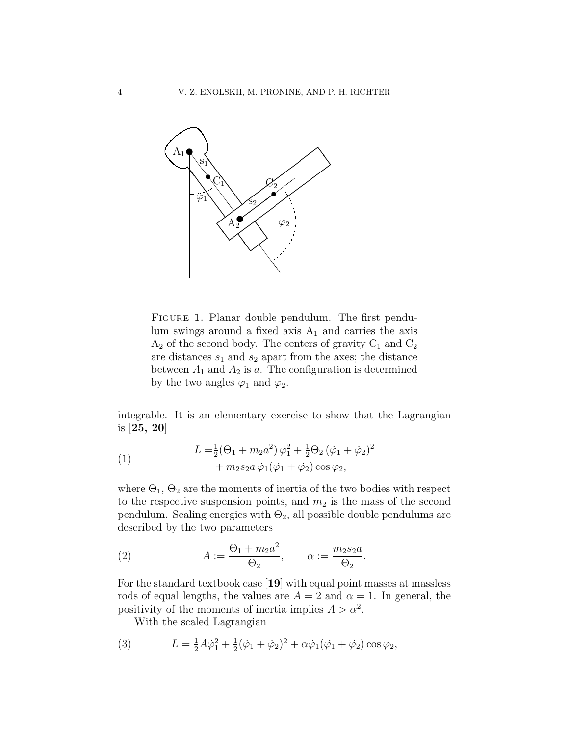

Figure 1. Planar double pendulum. The first pendulum swings around a fixed axis  $A_1$  and carries the axis  $A_2$  of the second body. The centers of gravity  $C_1$  and  $C_2$ are distances  $s_1$  and  $s_2$  apart from the axes; the distance between  $A_1$  and  $A_2$  is a. The configuration is determined by the two angles  $\varphi_1$  and  $\varphi_2$ .

integrable. It is an elementary exercise to show that the Lagrangian is [25, 20]

(1) 
$$
L = \frac{1}{2}(\Theta_1 + m_2 a^2) \dot{\varphi}_1^2 + \frac{1}{2}\Theta_2 (\dot{\varphi}_1 + \dot{\varphi}_2)^2 + m_2 s_2 a \dot{\varphi}_1 (\dot{\varphi}_1 + \dot{\varphi}_2) \cos \varphi_2,
$$

where  $\Theta_1$ ,  $\Theta_2$  are the moments of inertia of the two bodies with respect to the respective suspension points, and  $m_2$  is the mass of the second pendulum. Scaling energies with  $\Theta_2$ , all possible double pendulums are described by the two parameters

(2) 
$$
A := \frac{\Theta_1 + m_2 a^2}{\Theta_2}, \qquad \alpha := \frac{m_2 s_2 a}{\Theta_2}.
$$

For the standard textbook case [19] with equal point masses at massless rods of equal lengths, the values are  $A = 2$  and  $\alpha = 1$ . In general, the positivity of the moments of inertia implies  $A > \alpha^2$ .

With the scaled Lagrangian

(3) 
$$
L = \frac{1}{2}A\dot{\varphi}_1^2 + \frac{1}{2}(\dot{\varphi}_1 + \dot{\varphi}_2)^2 + \alpha\dot{\varphi}_1(\dot{\varphi}_1 + \dot{\varphi}_2)\cos\varphi_2,
$$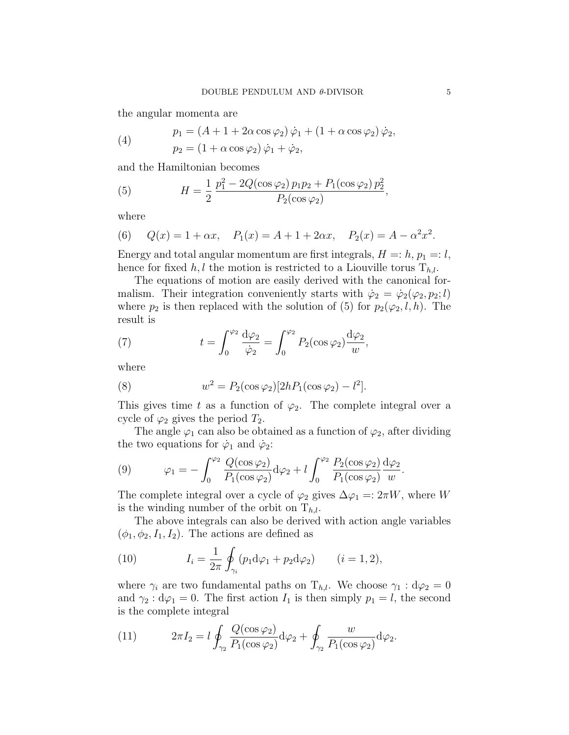the angular momenta are

(4) 
$$
p_1 = (A + 1 + 2\alpha \cos \varphi_2) \dot{\varphi}_1 + (1 + \alpha \cos \varphi_2) \dot{\varphi}_2, p_2 = (1 + \alpha \cos \varphi_2) \dot{\varphi}_1 + \dot{\varphi}_2,
$$

and the Hamiltonian becomes

(5) 
$$
H = \frac{1}{2} \frac{p_1^2 - 2Q(\cos\varphi_2) p_1 p_2 + P_1(\cos\varphi_2) p_2^2}{P_2(\cos\varphi_2)},
$$

where

(6) 
$$
Q(x) = 1 + \alpha x
$$
,  $P_1(x) = A + 1 + 2\alpha x$ ,  $P_2(x) = A - \alpha^2 x^2$ .

Energy and total angular momentum are first integrals,  $H =: h, p_1 =: l$ , hence for fixed h, l the motion is restricted to a Liouville torus  $T_{h,l}$ .

The equations of motion are easily derived with the canonical formalism. Their integration conveniently starts with  $\dot{\varphi}_2 = \dot{\varphi}_2(\varphi_2, p_2; l)$ where  $p_2$  is then replaced with the solution of (5) for  $p_2(\varphi_2, l, h)$ . The result is

(7) 
$$
t = \int_0^{\varphi_2} \frac{d\varphi_2}{\dot{\varphi}_2} = \int_0^{\varphi_2} P_2(\cos \varphi_2) \frac{d\varphi_2}{w},
$$

where

(8) 
$$
w^2 = P_2(\cos\varphi_2)[2hP_1(\cos\varphi_2) - l^2].
$$

This gives time t as a function of  $\varphi_2$ . The complete integral over a cycle of  $\varphi_2$  gives the period  $T_2$ .

The angle  $\varphi_1$  can also be obtained as a function of  $\varphi_2$ , after dividing the two equations for  $\dot{\varphi}_1$  and  $\dot{\varphi}_2$ :

(9) 
$$
\varphi_1 = -\int_0^{\varphi_2} \frac{Q(\cos \varphi_2)}{P_1(\cos \varphi_2)} d\varphi_2 + l \int_0^{\varphi_2} \frac{P_2(\cos \varphi_2)}{P_1(\cos \varphi_2)} \frac{d\varphi_2}{w}.
$$

The complete integral over a cycle of  $\varphi_2$  gives  $\Delta \varphi_1 = 2\pi W$ , where W is the winding number of the orbit on  $T_{h,l}$ .

The above integrals can also be derived with action angle variables  $(\phi_1, \phi_2, I_1, I_2)$ . The actions are defined as

(10) 
$$
I_i = \frac{1}{2\pi} \oint_{\gamma_i} (p_1 d\varphi_1 + p_2 d\varphi_2) \qquad (i = 1, 2),
$$

where  $\gamma_i$  are two fundamental paths on  $T_{h,l}$ . We choose  $\gamma_1 : d\varphi_2 = 0$ and  $\gamma_2: d\varphi_1 = 0$ . The first action  $I_1$  is then simply  $p_1 = l$ , the second is the complete integral

(11) 
$$
2\pi I_2 = l \oint_{\gamma_2} \frac{Q(\cos\varphi_2)}{P_1(\cos\varphi_2)} d\varphi_2 + \oint_{\gamma_2} \frac{w}{P_1(\cos\varphi_2)} d\varphi_2.
$$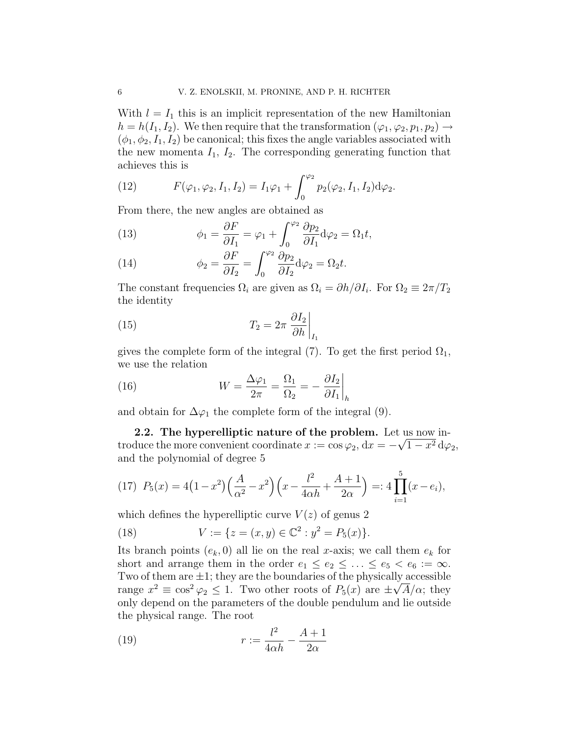With  $l = I_1$  this is an implicit representation of the new Hamiltonian  $h = h(I_1, I_2)$ . We then require that the transformation  $(\varphi_1, \varphi_2, p_1, p_2) \rightarrow$  $(\phi_1, \phi_2, I_1, I_2)$  be canonical; this fixes the angle variables associated with the new momenta  $I_1$ ,  $I_2$ . The corresponding generating function that achieves this is

(12) 
$$
F(\varphi_1, \varphi_2, I_1, I_2) = I_1 \varphi_1 + \int_0^{\varphi_2} p_2(\varphi_2, I_1, I_2) d\varphi_2.
$$

From there, the new angles are obtained as

(13) 
$$
\phi_1 = \frac{\partial F}{\partial I_1} = \varphi_1 + \int_0^{\varphi_2} \frac{\partial p_2}{\partial I_1} d\varphi_2 = \Omega_1 t,
$$

(14) 
$$
\phi_2 = \frac{\partial F}{\partial I_2} = \int_0^{\varphi_2} \frac{\partial p_2}{\partial I_2} d\varphi_2 = \Omega_2 t.
$$

The constant frequencies  $\Omega_i$  are given as  $\Omega_i = \partial h / \partial I_i$ . For  $\Omega_2 \equiv 2\pi / T_2$ the identity

(15) 
$$
T_2 = 2\pi \left. \frac{\partial I_2}{\partial h} \right|_{I_1}
$$

gives the complete form of the integral (7). To get the first period  $\Omega_1$ , we use the relation

(16) 
$$
W = \frac{\Delta \varphi_1}{2\pi} = \frac{\Omega_1}{\Omega_2} = -\left. \frac{\partial I_2}{\partial I_1} \right|_h
$$

and obtain for  $\Delta\varphi_1$  the complete form of the integral (9).

2.2. The hyperelliptic nature of the problem. Let us now introduce the more convenient coordinate  $x := \cos \varphi_2, dx = -\sqrt{1-x^2} d\varphi_2,$ and the polynomial of degree 5

(17) 
$$
P_5(x) = 4(1-x^2)\left(\frac{A}{\alpha^2} - x^2\right)\left(x - \frac{l^2}{4\alpha h} + \frac{A+1}{2\alpha}\right) =: 4\prod_{i=1}^5 (x - e_i),
$$

which defines the hyperelliptic curve  $V(z)$  of genus 2

(18) 
$$
V := \{ z = (x, y) \in \mathbb{C}^2 : y^2 = P_5(x) \}.
$$

Its branch points  $(e_k, 0)$  all lie on the real x-axis; we call them  $e_k$  for short and arrange them in the order  $e_1 \le e_2 \le \ldots \le e_5 < e_6 := \infty$ . Two of them are  $\pm 1$ ; they are the boundaries of the physically accessible range  $x^2 \equiv \cos^2 \varphi_2 \leq 1$ . Two other roots of  $P_5(x)$  are  $\pm \sqrt{A}/\alpha$ ; they only depend on the parameters of the double pendulum and lie outside the physical range. The root

(19) 
$$
r := \frac{l^2}{4\alpha h} - \frac{A+1}{2\alpha}
$$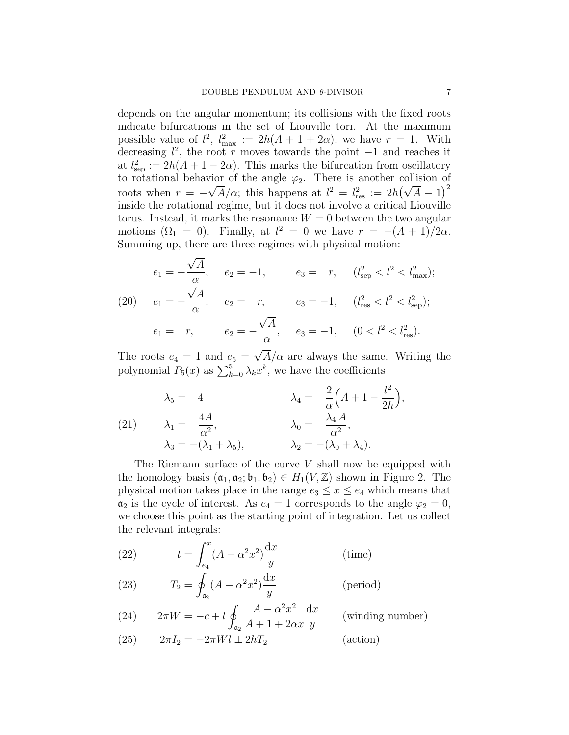depends on the angular momentum; its collisions with the fixed roots indicate bifurcations in the set of Liouville tori. At the maximum possible value of  $l^2$ ,  $l_{\text{max}}^2 := 2h(A + 1 + 2\alpha)$ , we have  $r = 1$ . With decreasing  $l^2$ , the root r moves towards the point  $-1$  and reaches it at  $l_{\text{sep}}^2 := 2h(A + 1 - 2\alpha)$ . This marks the bifurcation from oscillatory to rotational behavior of the angle  $\varphi_2$ . There is another collision of roots when  $r = -\sqrt{A}/\alpha$ ; this happens at  $l^2 = l_{\text{res}}^2 := 2h(\sqrt{A} - 1)^2$ inside the rotational regime, but it does not involve a critical Liouville torus. Instead, it marks the resonance  $W = 0$  between the two angular motions  $(\Omega_1 = 0)$ . Finally, at  $l^2 = 0$  we have  $r = -(A + 1)/2\alpha$ . Summing up, there are three regimes with physical motion:

$$
e_1 = -\frac{\sqrt{A}}{\alpha}, \quad e_2 = -1, \quad e_3 = r, \quad (l_{\text{sep}}^2 < l^2 < l_{\text{max}}^2);
$$
\n
$$
(20) \quad e_1 = -\frac{\sqrt{A}}{\alpha}, \quad e_2 = r, \quad e_3 = -1, \quad (l_{\text{res}}^2 < l^2 < l_{\text{sep}}^2);
$$
\n
$$
e_1 = r, \quad e_2 = -\frac{\sqrt{A}}{\alpha}, \quad e_3 = -1, \quad (0 < l^2 < l_{\text{res}}^2).
$$

The roots  $e_4 = 1$  and  $e_5 =$  $A/\alpha$  are always the same. Writing the polynomial  $P_5(x)$  as  $\sum_{k=0}^5 \lambda_k x^k$ , we have the coefficients

(21) 
$$
\lambda_5 = 4 \qquad \lambda_4 = \frac{2}{\alpha} \left( A + 1 - \frac{l^2}{2h} \right),
$$

$$
\lambda_1 = \frac{4A}{\alpha^2}, \qquad \lambda_0 = \frac{\lambda_4 A}{\alpha^2},
$$

$$
\lambda_3 = -(\lambda_1 + \lambda_5), \qquad \lambda_2 = -(\lambda_0 + \lambda_4).
$$

The Riemann surface of the curve  $V$  shall now be equipped with the homology basis  $(a_1, a_2; b_1, b_2) \in H_1(V, \mathbb{Z})$  shown in Figure 2. The physical motion takes place in the range  $e_3 \leq x \leq e_4$  which means that  $a_2$  is the cycle of interest. As  $e_4 = 1$  corresponds to the angle  $\varphi_2 = 0$ , we choose this point as the starting point of integration. Let us collect the relevant integrals:

(22) 
$$
t = \int_{e_4}^{x} (A - \alpha^2 x^2) \frac{\mathrm{d}x}{y}
$$
 (time)

(23) 
$$
T_2 = \oint_{\mathfrak{a}_2} (A - \alpha^2 x^2) \frac{dx}{y}
$$
 (period)

(24) 
$$
2\pi W = -c + l \oint_{a_2} \frac{A - \alpha^2 x^2}{A + 1 + 2\alpha x} \frac{dx}{y}
$$
 (winding number)

(25)  $2\pi I_2 = -2\pi Wl \pm 2hT_2$  (action)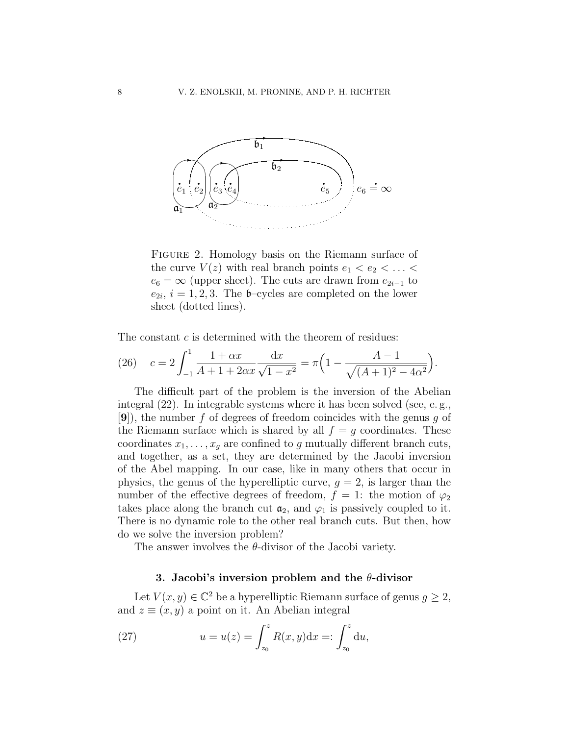

FIGURE 2. Homology basis on the Riemann surface of the curve  $V(z)$  with real branch points  $e_1 < e_2 < \ldots <$  $e_6 = \infty$  (upper sheet). The cuts are drawn from  $e_{2i-1}$  to  $e_{2i}, i = 1, 2, 3$ . The b-cycles are completed on the lower sheet (dotted lines).

The constant c is determined with the theorem of residues:

(26) 
$$
c = 2 \int_{-1}^{1} \frac{1 + \alpha x}{A + 1 + 2\alpha x} \frac{dx}{\sqrt{1 - x^2}} = \pi \left( 1 - \frac{A - 1}{\sqrt{(A + 1)^2 - 4\alpha^2}} \right).
$$

The difficult part of the problem is the inversion of the Abelian integral  $(22)$ . In integrable systems where it has been solved (see, e.g.,  $[9]$ , the number f of degrees of freedom coincides with the genus g of the Riemann surface which is shared by all  $f = g$  coordinates. These coordinates  $x_1, \ldots, x_q$  are confined to g mutually different branch cuts, and together, as a set, they are determined by the Jacobi inversion of the Abel mapping. In our case, like in many others that occur in physics, the genus of the hyperelliptic curve,  $q = 2$ , is larger than the number of the effective degrees of freedom,  $f = 1$ : the motion of  $\varphi_2$ takes place along the branch cut  $a_2$ , and  $\varphi_1$  is passively coupled to it. There is no dynamic role to the other real branch cuts. But then, how do we solve the inversion problem?

The answer involves the  $\theta$ -divisor of the Jacobi variety.

# 3. Jacobi's inversion problem and the  $\theta$ -divisor

Let  $V(x, y) \in \mathbb{C}^2$  be a hyperelliptic Riemann surface of genus  $g \geq 2$ , and  $z \equiv (x, y)$  a point on it. An Abelian integral

(27) 
$$
u = u(z) = \int_{z_0}^{z} R(x, y) dx =: \int_{z_0}^{z} du,
$$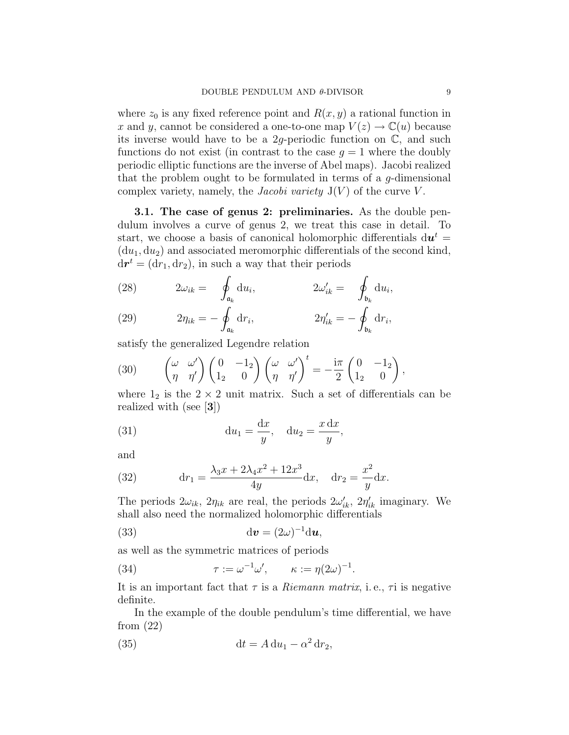where  $z_0$  is any fixed reference point and  $R(x, y)$  a rational function in x and y, cannot be considered a one-to-one map  $V(z) \to \mathbb{C}(u)$  because its inverse would have to be a 2g-periodic function on  $\mathbb{C}$ , and such functions do not exist (in contrast to the case  $q = 1$  where the doubly periodic elliptic functions are the inverse of Abel maps). Jacobi realized that the problem ought to be formulated in terms of a g-dimensional complex variety, namely, the *Jacobi variety*  $J(V)$  of the curve V.

3.1. The case of genus 2: preliminaries. As the double pendulum involves a curve of genus 2, we treat this case in detail. To start, we choose a basis of canonical holomorphic differentials  $\mathrm{d}\boldsymbol{u}^{t} =$  $(du_1, du_2)$  and associated meromorphic differentials of the second kind,  $dr^t = (dr_1, dr_2)$ , in such a way that their periods

(28) 
$$
2\omega_{ik} = \oint_{\mathfrak{a}_k} du_i, \qquad 2\omega'_{ik} = \oint_{\mathfrak{b}_k} du_i,
$$

(29) 
$$
2\eta_{ik} = -\oint_{\mathfrak{a}_k} dr_i, \qquad 2\eta'_{ik} = -\oint_{\mathfrak{b}_k} dr_i,
$$

satisfy the generalized Legendre relation

(30) 
$$
\begin{pmatrix} \omega & \omega' \\ \eta & \eta' \end{pmatrix} \begin{pmatrix} 0 & -1_2 \\ 1_2 & 0 \end{pmatrix} \begin{pmatrix} \omega & \omega' \\ \eta & \eta' \end{pmatrix}^t = -\frac{i\pi}{2} \begin{pmatrix} 0 & -1_2 \\ 1_2 & 0 \end{pmatrix},
$$

where  $1_2$  is the  $2 \times 2$  unit matrix. Such a set of differentials can be realized with (see [3])

(31) 
$$
\mathrm{d}u_1 = \frac{\mathrm{d}x}{y}, \quad \mathrm{d}u_2 = \frac{x \,\mathrm{d}x}{y},
$$

and

(32) 
$$
\mathrm{d}r_1 = \frac{\lambda_3 x + 2\lambda_4 x^2 + 12x^3}{4y} \mathrm{d}x, \quad \mathrm{d}r_2 = \frac{x^2}{y} \mathrm{d}x.
$$

The periods  $2\omega_{ik}$ ,  $2\eta_{ik}$  are real, the periods  $2\omega'_{ik}$ ,  $2\eta'_{ik}$  imaginary. We shall also need the normalized holomorphic differentials

(33) 
$$
\mathrm{d}\boldsymbol{v} = (2\omega)^{-1} \mathrm{d}\boldsymbol{u},
$$

as well as the symmetric matrices of periods

(34) 
$$
\tau := \omega^{-1} \omega', \qquad \kappa := \eta(2\omega)^{-1}.
$$

It is an important fact that  $\tau$  is a *Riemann matrix*, i.e.,  $\tau$  is negative definite.

In the example of the double pendulum's time differential, we have from (22)

(35) 
$$
\mathrm{d}t = A \, \mathrm{d}u_1 - \alpha^2 \, \mathrm{d}r_2,
$$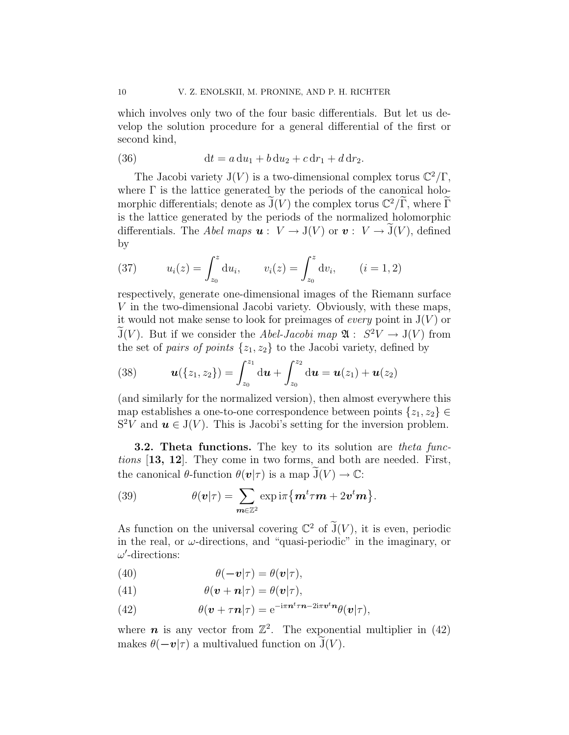which involves only two of the four basic differentials. But let us develop the solution procedure for a general differential of the first or second kind,

(36) 
$$
dt = a du_1 + b du_2 + c dr_1 + d dr_2.
$$

The Jacobi variety  $J(V)$  is a two-dimensional complex torus  $\mathbb{C}^2/\Gamma$ , where  $\Gamma$  is the lattice generated by the periods of the canonical holomorphic differentials; denote as  $\widetilde{J}(V)$  the complex torus  $\mathbb{C}^2/\widetilde{\Gamma}$ , where  $\widetilde{\Gamma}$ is the lattice generated by the periods of the normalized holomorphic differentials. The Abel maps  $\mathbf{u}: V \to \mathcal{J}(V)$  or  $\mathbf{v}: V \to \widetilde{\mathcal{J}}(V)$ , defined by

(37) 
$$
u_i(z) = \int_{z_0}^z du_i
$$
,  $v_i(z) = \int_{z_0}^z dv_i$ ,  $(i = 1, 2)$ 

respectively, generate one-dimensional images of the Riemann surface V in the two-dimensional Jacobi variety. Obviously, with these maps, it would not make sense to look for preimages of *every* point in  $J(V)$  or  $\widetilde{J}(V)$ . But if we consider the Abel-Jacobi map  $\mathfrak{A}: S^2V \to J(V)$  from the set of pairs of points  $\{z_1, z_2\}$  to the Jacobi variety, defined by

(38) 
$$
\boldsymbol{u}(\{z_1,z_2\}) = \int_{z_0}^{z_1} d\boldsymbol{u} + \int_{z_0}^{z_2} d\boldsymbol{u} = \boldsymbol{u}(z_1) + \boldsymbol{u}(z_2)
$$

(and similarly for the normalized version), then almost everywhere this map establishes a one-to-one correspondence between points  $\{z_1, z_2\} \in$  $S^2V$  and  $u \in J(V)$ . This is Jacobi's setting for the inversion problem.

**3.2. Theta functions.** The key to its solution are theta functions [13, 12]. They come in two forms, and both are needed. First, the canonical  $\theta$ -function  $\theta(\mathbf{v}|\tau)$  is a map  $J(V) \to \mathbb{C}$ :

(39) 
$$
\theta(\mathbf{v}|\tau) = \sum_{\mathbf{m}\in\mathbb{Z}^2} \exp\mathrm{i}\pi \{ \mathbf{m}^t \tau \mathbf{m} + 2\mathbf{v}^t \mathbf{m} \}.
$$

As function on the universal covering  $\mathbb{C}^2$  of  $\widetilde{J}(V)$ , it is even, periodic in the real, or  $\omega$ -directions, and "quasi-periodic" in the imaginary, or  $\omega'$ -directions:

(40) 
$$
\theta(-\boldsymbol{v}|\tau) = \theta(\boldsymbol{v}|\tau),
$$

(41) 
$$
\theta(\boldsymbol{v}+\boldsymbol{n}|\tau)=\theta(\boldsymbol{v}|\tau),
$$

(42) 
$$
\theta(\mathbf{v} + \tau \mathbf{n}|\tau) = e^{-i\pi \mathbf{n}^t \tau \mathbf{n} - 2i\pi \mathbf{v}^t \mathbf{n}} \theta(\mathbf{v}|\tau),
$$

where  $\boldsymbol{n}$  is any vector from  $\mathbb{Z}^2$ . The exponential multiplier in (42) makes  $\theta(-v|\tau)$  a multivalued function on  $\tilde{J}(V)$ .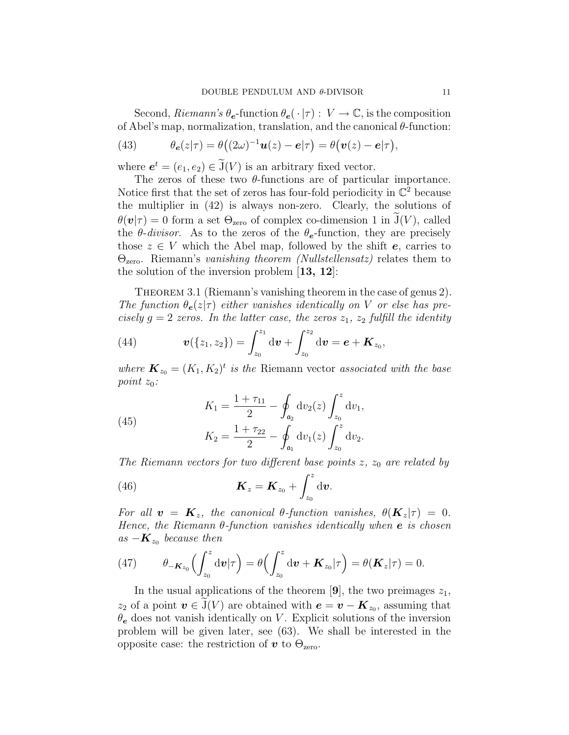Second, Riemann's  $\theta_e$ -function  $\theta_e(\cdot|\tau): V \to \mathbb{C}$ , is the composition of Abel's map, normalization, translation, and the canonical  $\theta$ -function:

(43) 
$$
\theta_{\boldsymbol{e}}(z|\tau) = \theta((2\omega)^{-1}\boldsymbol{u}(z) - \boldsymbol{e}|\tau) = \theta(\boldsymbol{v}(z) - \boldsymbol{e}|\tau),
$$

where  $e^t = (e_1, e_2) \in \mathcal{J}(V)$  is an arbitrary fixed vector.

The zeros of these two  $\theta$ -functions are of particular importance. Notice first that the set of zeros has four-fold periodicity in  $\mathbb{C}^2$  because the multiplier in (42) is always non-zero. Clearly, the solutions of  $\theta(\mathbf{v}|\tau) = 0$  form a set  $\Theta_{\text{zero}}$  of complex co-dimension 1 in  $\tilde{\mathcal{J}}(V)$ , called the  $\theta$ -divisor. As to the zeros of the  $\theta$ <sub>e</sub>-function, they are precisely those  $z \in V$  which the Abel map, followed by the shift **e**, carries to  $\Theta_{\text{zero}}$ . Riemann's vanishing theorem (Nullstellensatz) relates them to the solution of the inversion problem [13, 12]:

THEOREM 3.1 (Riemann's vanishing theorem in the case of genus 2). The function  $\theta_e(z|\tau)$  either vanishes identically on V or else has precisely  $g = 2$  zeros. In the latter case, the zeros  $z_1$ ,  $z_2$  fulfill the identity

(44) 
$$
\mathbf{v}(\{z_1,z_2\})=\int_{z_0}^{z_1} d\mathbf{v}+\int_{z_0}^{z_2} d\mathbf{v}=\mathbf{e}+\mathbf{K}_{z_0},
$$

where  $\mathbf{K}_{z_0} = (K_1, K_2)^t$  is the Riemann vector associated with the base point  $z_0$ :

(45) 
$$
K_1 = \frac{1 + \tau_{11}}{2} - \oint_{\mathfrak{a}_2} dv_2(z) \int_{z_0}^z dv_1,
$$

$$
K_2 = \frac{1 + \tau_{22}}{2} - \oint_{\mathfrak{a}_1} dv_1(z) \int_{z_0}^z dv_2.
$$

The Riemann vectors for two different base points  $z$ ,  $z_0$  are related by

(46) 
$$
\boldsymbol{K}_z = \boldsymbol{K}_{z_0} + \int_{z_0}^z \mathrm{d} \boldsymbol{v}.
$$

For all  $\mathbf{v} = \mathbf{K}_z$ , the canonical  $\theta$ -function vanishes,  $\theta(\mathbf{K}_z|\tau) = 0$ . Hence, the Riemann  $\theta$ -function vanishes identically when **e** is chosen as  $-\boldsymbol{K}_{z_0}$  because then

(47) 
$$
\theta_{-\boldsymbol{K}_{z_0}}\left(\int_{z_0}^z \mathrm{d} \boldsymbol{v}|\tau\right) = \theta\left(\int_{z_0}^z \mathrm{d} \boldsymbol{v} + \boldsymbol{K}_{z_0}|\tau\right) = \theta(\boldsymbol{K}_z|\tau) = 0.
$$

In the usual applications of the theorem [9], the two preimages  $z_1$ ,  $z_2$  of a point  $\mathbf{v} \in \mathcal{J}(V)$  are obtained with  $\mathbf{e} = \mathbf{v} - \mathbf{K}_{z_0}$ , assuming that  $\theta_e$  does not vanish identically on V. Explicit solutions of the inversion problem will be given later, see (63). We shall be interested in the opposite case: the restriction of  $v$  to  $\Theta_{\text{zero}}$ .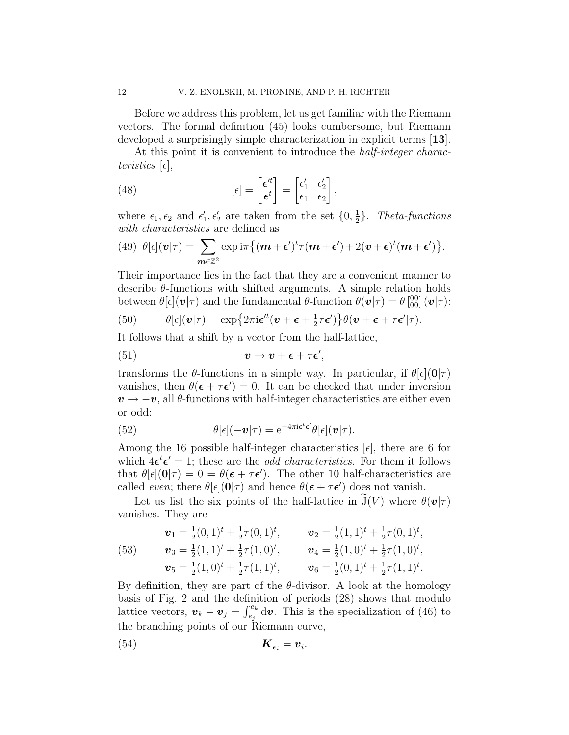Before we address this problem, let us get familiar with the Riemann vectors. The formal definition (45) looks cumbersome, but Riemann developed a surprisingly simple characterization in explicit terms [13].

At this point it is convenient to introduce the *half-integer charac*teristics  $[\epsilon]$ ,

(48) 
$$
[\epsilon] = \begin{bmatrix} \epsilon'^t \\ \epsilon^t \end{bmatrix} = \begin{bmatrix} \epsilon'_1 & \epsilon'_2 \\ \epsilon_1 & \epsilon_2 \end{bmatrix},
$$

where  $\epsilon_1, \epsilon_2$  and  $\epsilon'_1, \epsilon'_2$  are taken from the set  $\{0, \frac{1}{2}\}$  $\frac{1}{2}$ . Theta-functions with *characteristics* are defined as

(49) 
$$
\theta[\epsilon](\boldsymbol{v}|\tau) = \sum_{\boldsymbol{m}\in\mathbb{Z}^2} \exp\mathrm{i}\pi \{(\boldsymbol{m}+\boldsymbol{\epsilon}')^t \tau(\boldsymbol{m}+\boldsymbol{\epsilon}') + 2(\boldsymbol{v}+\boldsymbol{\epsilon})^t(\boldsymbol{m}+\boldsymbol{\epsilon}')\}.
$$

Their importance lies in the fact that they are a convenient manner to describe  $\theta$ -functions with shifted arguments. A simple relation holds between  $\theta[\epsilon](\boldsymbol{v}|\tau)$  and the fundamental  $\theta$ -function  $\theta(\boldsymbol{v}|\tau) = \theta \begin{bmatrix} 0 & 0 \\ 0 & 0 \end{bmatrix} (\boldsymbol{v}|\tau)$ :

(50) 
$$
\theta[\epsilon](\boldsymbol{v}|\tau) = \exp\{2\pi i \boldsymbol{\epsilon}^{\prime t}(\boldsymbol{v}+\boldsymbol{\epsilon}+\frac{1}{2}\tau\boldsymbol{\epsilon}')\}\theta(\boldsymbol{v}+\boldsymbol{\epsilon}+\tau\boldsymbol{\epsilon}'|\tau).
$$

It follows that a shift by a vector from the half-lattice,

(51) 
$$
\mathbf{v} \to \mathbf{v} + \boldsymbol{\epsilon} + \tau \boldsymbol{\epsilon}',
$$

transforms the  $\theta$ -functions in a simple way. In particular, if  $\theta[\epsilon](0|\tau)$ vanishes, then  $\theta(\epsilon + \tau \epsilon') = 0$ . It can be checked that under inversion  $v \rightarrow -v$ , all  $\theta$ -functions with half-integer characteristics are either even or odd:

(52) 
$$
\theta[\epsilon](-\boldsymbol{v}|\tau) = e^{-4\pi i \boldsymbol{\epsilon}^t \boldsymbol{\epsilon}'} \theta[\epsilon](\boldsymbol{v}|\tau).
$$

Among the 16 possible half-integer characteristics  $[\epsilon]$ , there are 6 for which  $4\epsilon^t \epsilon' = 1$ ; these are the *odd characteristics*. For them it follows that  $\theta[\epsilon](\mathbf{0}|\tau) = 0 = \theta(\epsilon + \tau \epsilon')$ . The other 10 half-characteristics are called *even*; there  $\theta[\epsilon](0|\tau)$  and hence  $\theta(\epsilon + \tau \epsilon')$  does not vanish.

Let us list the six points of the half-lattice in  $\tilde{J}(V)$  where  $\theta(\nu|\tau)$ vanishes. They are

(53) 
$$
\mathbf{v}_1 = \frac{1}{2}(0,1)^t + \frac{1}{2}\tau(0,1)^t, \qquad \mathbf{v}_2 = \frac{1}{2}(1,1)^t + \frac{1}{2}\tau(0,1)^t, \n\mathbf{v}_3 = \frac{1}{2}(1,1)^t + \frac{1}{2}\tau(1,0)^t, \qquad \mathbf{v}_4 = \frac{1}{2}(1,0)^t + \frac{1}{2}\tau(1,0)^t, \n\mathbf{v}_5 = \frac{1}{2}(1,0)^t + \frac{1}{2}\tau(1,1)^t, \qquad \mathbf{v}_6 = \frac{1}{2}(0,1)^t + \frac{1}{2}\tau(1,1)^t.
$$

By definition, they are part of the  $\theta$ -divisor. A look at the homology basis of Fig. 2 and the definition of periods (28) shows that modulo lattice vectors,  $v_k - v_j = \int_{e_j}^{e_k} d\boldsymbol{v}$ . This is the specialization of (46) to the branching points of our Riemann curve,

$$
K_{e_i} = \boldsymbol{v}_i.
$$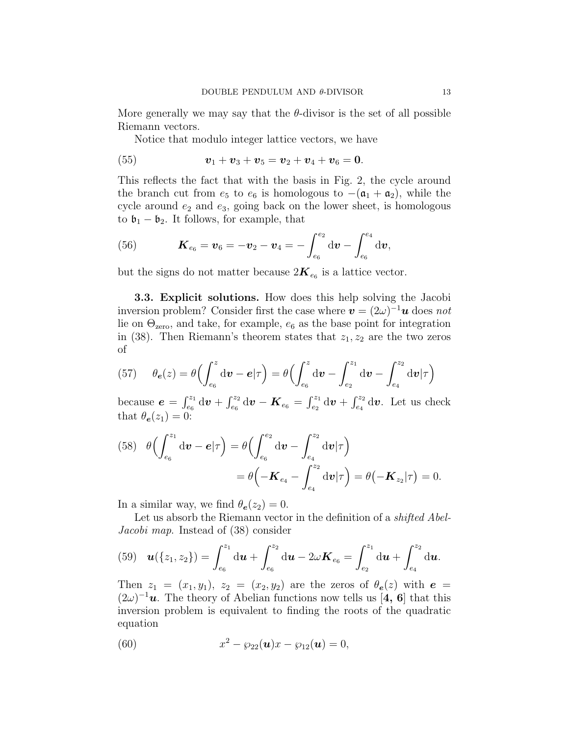More generally we may say that the  $\theta$ -divisor is the set of all possible Riemann vectors.

Notice that modulo integer lattice vectors, we have

(55) 
$$
v_1 + v_3 + v_5 = v_2 + v_4 + v_6 = 0.
$$

This reflects the fact that with the basis in Fig. 2, the cycle around the branch cut from  $e_5$  to  $e_6$  is homologous to  $-(\mathfrak{a}_1 + \mathfrak{a}_2)$ , while the cycle around  $e_2$  and  $e_3$ , going back on the lower sheet, is homologous to  $\mathfrak{b}_1 - \mathfrak{b}_2$ . It follows, for example, that

(56) 
$$
\boldsymbol{K}_{e_6} = \boldsymbol{v}_6 = -\boldsymbol{v}_2 - \boldsymbol{v}_4 = -\int_{e_6}^{e_2} d\boldsymbol{v} - \int_{e_6}^{e_4} d\boldsymbol{v},
$$

but the signs do not matter because  $2K_{e_6}$  is a lattice vector.

3.3. Explicit solutions. How does this help solving the Jacobi inversion problem? Consider first the case where  $\mathbf{v} = (2\omega)^{-1}\mathbf{u}$  does not lie on  $\Theta_{\text{zero}}$ , and take, for example,  $e_6$  as the base point for integration in (38). Then Riemann's theorem states that  $z_1, z_2$  are the two zeros of

(57) 
$$
\theta_{\mathbf{e}}(z) = \theta \left( \int_{e_6}^{z} d\mathbf{v} - \mathbf{e} | \tau \right) = \theta \left( \int_{e_6}^{z} d\mathbf{v} - \int_{e_2}^{z_1} d\mathbf{v} - \int_{e_4}^{z_2} d\mathbf{v} | \tau \right)
$$

because  $e = \int_{e_6}^{z_1} d\mathbf{v} + \int_{e_6}^{z_2} d\mathbf{v} - \mathbf{K}_{e_6} = \int_{e_2}^{z_1} d\mathbf{v} + \int_{e_4}^{z_2} d\mathbf{v}$ . Let us check that  $\theta_{\mathbf{e}}(z_1) = 0$ :

(58) 
$$
\theta \left( \int_{e_6}^{z_1} d\boldsymbol{v} - \boldsymbol{e} | \tau \right) = \theta \left( \int_{e_6}^{e_2} d\boldsymbol{v} - \int_{e_4}^{z_2} d\boldsymbol{v} | \tau \right)
$$

$$
= \theta \left( -\boldsymbol{K}_{e_4} - \int_{e_4}^{z_2} d\boldsymbol{v} | \tau \right) = \theta \left( -\boldsymbol{K}_{z_2} | \tau \right) = 0.
$$

In a similar way, we find  $\theta_e(z_2) = 0$ .

Let us absorb the Riemann vector in the definition of a *shifted Abel*-Jacobi map. Instead of (38) consider

(59) 
$$
\boldsymbol{u}(\{z_1, z_2\}) = \int_{e_6}^{z_1} d\boldsymbol{u} + \int_{e_6}^{z_2} d\boldsymbol{u} - 2\omega \boldsymbol{K}_{e_6} = \int_{e_2}^{z_1} d\boldsymbol{u} + \int_{e_4}^{z_2} d\boldsymbol{u}.
$$

Then  $z_1 = (x_1, y_1), z_2 = (x_2, y_2)$  are the zeros of  $\theta_e(z)$  with  $e =$  $(2\omega)^{-1}$ **u**. The theory of Abelian functions now tells us [4, 6] that this inversion problem is equivalent to finding the roots of the quadratic equation

(60) 
$$
x^2 - \wp_{22}(\mathbf{u})x - \wp_{12}(\mathbf{u}) = 0,
$$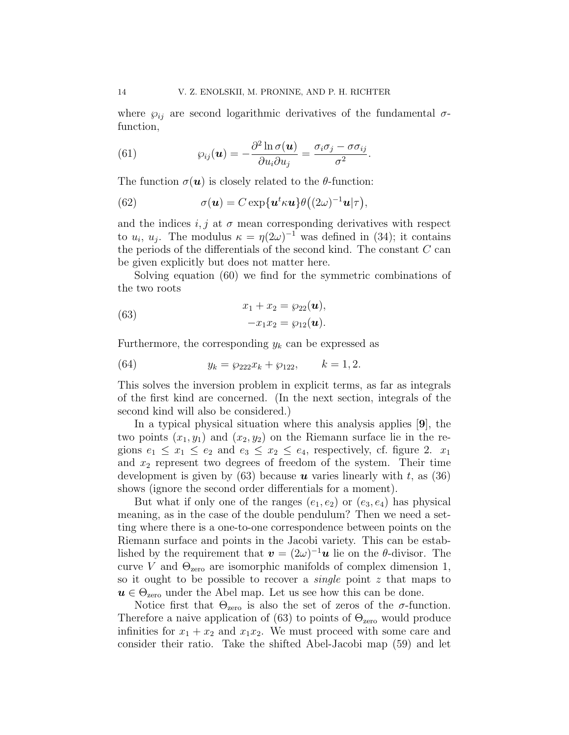where  $\varphi_{ij}$  are second logarithmic derivatives of the fundamental  $\sigma$ function,

(61) 
$$
\wp_{ij}(\boldsymbol{u}) = -\frac{\partial^2 \ln \sigma(\boldsymbol{u})}{\partial u_i \partial u_j} = \frac{\sigma_i \sigma_j - \sigma \sigma_{ij}}{\sigma^2}.
$$

The function  $\sigma(\mathbf{u})$  is closely related to the  $\theta$ -function:

(62) 
$$
\sigma(\mathbf{u}) = C \exp{\mathbf{u}^t \kappa \mathbf{u}} \theta((2\omega)^{-1} \mathbf{u}|\tau),
$$

and the indices  $i, j$  at  $\sigma$  mean corresponding derivatives with respect to  $u_i$ ,  $u_j$ . The modulus  $\kappa = \eta(2\omega)^{-1}$  was defined in (34); it contains the periods of the differentials of the second kind. The constant  $C$  can be given explicitly but does not matter here.

Solving equation (60) we find for the symmetric combinations of the two roots

(63) 
$$
x_1 + x_2 = \wp_{22}(\mathbf{u}), -x_1x_2 = \wp_{12}(\mathbf{u}).
$$

Furthermore, the corresponding  $y_k$  can be expressed as

(64) 
$$
y_k = \wp_{222} x_k + \wp_{122}, \qquad k = 1, 2.
$$

This solves the inversion problem in explicit terms, as far as integrals of the first kind are concerned. (In the next section, integrals of the second kind will also be considered.)

In a typical physical situation where this analysis applies [9], the two points  $(x_1, y_1)$  and  $(x_2, y_2)$  on the Riemann surface lie in the regions  $e_1 \leq x_1 \leq e_2$  and  $e_3 \leq x_2 \leq e_4$ , respectively, cf. figure 2.  $x_1$ and  $x_2$  represent two degrees of freedom of the system. Their time development is given by (63) because  $\boldsymbol{u}$  varies linearly with t, as (36) shows (ignore the second order differentials for a moment).

But what if only one of the ranges  $(e_1, e_2)$  or  $(e_3, e_4)$  has physical meaning, as in the case of the double pendulum? Then we need a setting where there is a one-to-one correspondence between points on the Riemann surface and points in the Jacobi variety. This can be established by the requirement that  $\mathbf{v} = (2\omega)^{-1}\mathbf{u}$  lie on the  $\theta$ -divisor. The curve V and  $\Theta_{\text{zero}}$  are isomorphic manifolds of complex dimension 1, so it ought to be possible to recover a single point z that maps to  $u \in \Theta_{\text{zero}}$  under the Abel map. Let us see how this can be done.

Notice first that  $\Theta_{\text{zero}}$  is also the set of zeros of the  $\sigma$ -function. Therefore a naive application of (63) to points of  $\Theta_{\text{zero}}$  would produce infinities for  $x_1 + x_2$  and  $x_1x_2$ . We must proceed with some care and consider their ratio. Take the shifted Abel-Jacobi map (59) and let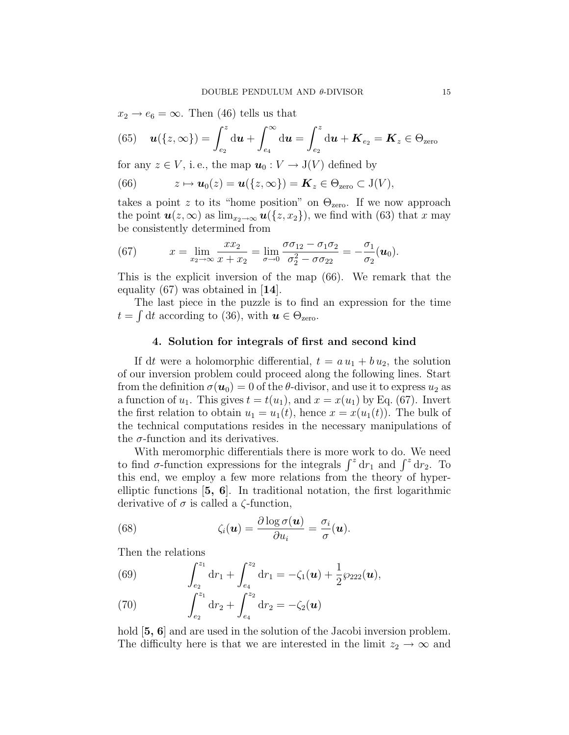$x_2 \rightarrow e_6 = \infty$ . Then (46) tells us that

(65) 
$$
\boldsymbol{u}(\{z,\infty\}) = \int_{e_2}^{z} d\boldsymbol{u} + \int_{e_4}^{\infty} d\boldsymbol{u} = \int_{e_2}^{z} d\boldsymbol{u} + \boldsymbol{K}_{e_2} = \boldsymbol{K}_{z} \in \Theta_{\text{zero}}
$$

for any  $z \in V$ , i.e., the map  $u_0: V \to J(V)$  defined by

(66) 
$$
z \mapsto \mathbf{u}_0(z) = \mathbf{u}(\{z,\infty\}) = \mathbf{K}_z \in \Theta_{\text{zero}} \subset J(V),
$$

takes a point z to its "home position" on  $\Theta_{\text{zero}}$ . If we now approach the point  $u(z,\infty)$  as  $\lim_{x_2\to\infty} u({z,x_2})$ , we find with (63) that x may be consistently determined from

(67) 
$$
x = \lim_{x_2 \to \infty} \frac{x x_2}{x + x_2} = \lim_{\sigma \to 0} \frac{\sigma \sigma_{12} - \sigma_{1} \sigma_{2}}{\sigma_{2}^{2} - \sigma \sigma_{22}} = -\frac{\sigma_{1}}{\sigma_{2}}(\boldsymbol{u}_{0}).
$$

This is the explicit inversion of the map (66). We remark that the equality (67) was obtained in [14].

The last piece in the puzzle is to find an expression for the time  $t = \int dt$  according to (36), with  $u \in \Theta_{\text{zero}}$ .

# 4. Solution for integrals of first and second kind

If dt were a holomorphic differential,  $t = a u_1 + b u_2$ , the solution of our inversion problem could proceed along the following lines. Start from the definition  $\sigma(\boldsymbol{u}_0) = 0$  of the  $\theta$ -divisor, and use it to express  $u_2$  as a function of  $u_1$ . This gives  $t = t(u_1)$ , and  $x = x(u_1)$  by Eq. (67). Invert the first relation to obtain  $u_1 = u_1(t)$ , hence  $x = x(u_1(t))$ . The bulk of the technical computations resides in the necessary manipulations of the  $\sigma$ -function and its derivatives.

With meromorphic differentials there is more work to do. We need to find  $\sigma$ -function expressions for the integrals  $\int^z dr_1$  and  $\int^z dr_2$ . To this end, we employ a few more relations from the theory of hyperelliptic functions [5, 6]. In traditional notation, the first logarithmic derivative of  $\sigma$  is called a  $\zeta$ -function,

(68) 
$$
\zeta_i(\boldsymbol{u}) = \frac{\partial \log \sigma(\boldsymbol{u})}{\partial u_i} = \frac{\sigma_i}{\sigma}(\boldsymbol{u}).
$$

Then the relations

(69) 
$$
\int_{e_2}^{z_1} dr_1 + \int_{e_4}^{z_2} dr_1 = -\zeta_1(\boldsymbol{u}) + \frac{1}{2} \wp_{222}(\boldsymbol{u}),
$$

(70) 
$$
\int_{e_2}^{z_1} dr_2 + \int_{e_4}^{z_2} dr_2 = -\zeta_2(\boldsymbol{u})
$$

hold  $\mathbf{5, 6}$  and are used in the solution of the Jacobi inversion problem. The difficulty here is that we are interested in the limit  $z_2 \rightarrow \infty$  and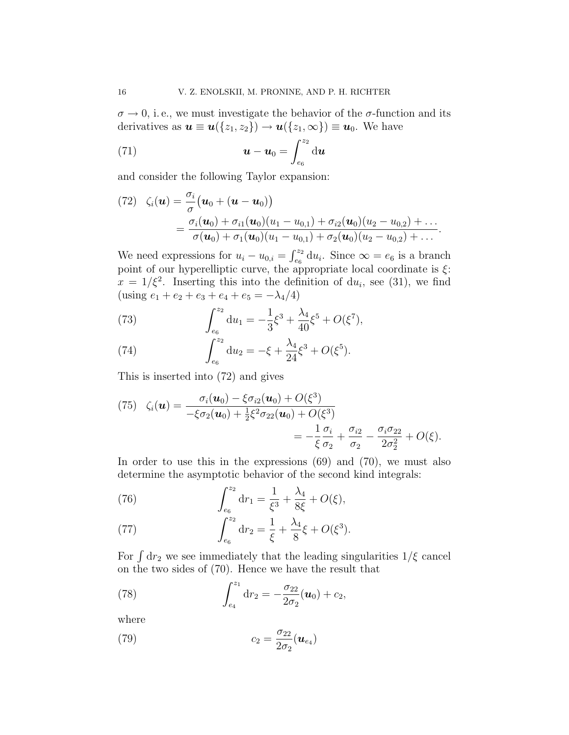$\sigma \rightarrow 0$ , i.e., we must investigate the behavior of the  $\sigma$ -function and its derivatives as  $u \equiv u({z_1, z_2}) \rightarrow u({z_1, \infty}) \equiv u_0$ . We have

(71) 
$$
\boldsymbol{u} - \boldsymbol{u}_0 = \int_{e_6}^{z_2} \mathrm{d} \boldsymbol{u}
$$

and consider the following Taylor expansion:

(72) 
$$
\zeta_i(\boldsymbol{u}) = \frac{\sigma_i}{\sigma} (\boldsymbol{u}_0 + (\boldsymbol{u} - \boldsymbol{u}_0))
$$
  
= 
$$
\frac{\sigma_i(\boldsymbol{u}_0) + \sigma_{i1}(\boldsymbol{u}_0)(u_1 - u_{0,1}) + \sigma_{i2}(\boldsymbol{u}_0)(u_2 - u_{0,2}) + \dots}{\sigma(\boldsymbol{u}_0) + \sigma_1(\boldsymbol{u}_0)(u_1 - u_{0,1}) + \sigma_2(\boldsymbol{u}_0)(u_2 - u_{0,2}) + \dots}
$$

We need expressions for  $u_i - u_{0,i} = \int_{e_6}^{z_2} du_i$ . Since  $\infty = e_6$  is a branch point of our hyperelliptic curve, the appropriate local coordinate is  $\xi$ :  $x = 1/\xi^2$ . Inserting this into the definition of du<sub>i</sub>, see (31), we find (using  $e_1 + e_2 + e_3 + e_4 + e_5 = -\lambda_4/4$ )

(73) 
$$
\int_{e_6}^{z_2} du_1 = -\frac{1}{3}\xi^3 + \frac{\lambda_4}{40}\xi^5 + O(\xi^7),
$$

(74) 
$$
\int_{e_6}^{z_2} du_2 = -\xi + \frac{\lambda_4}{24} \xi^3 + O(\xi^5).
$$

This is inserted into (72) and gives

(75) 
$$
\zeta_i(\boldsymbol{u}) = \frac{\sigma_i(\boldsymbol{u}_0) - \xi \sigma_{i2}(\boldsymbol{u}_0) + O(\xi^3)}{-\xi \sigma_2(\boldsymbol{u}_0) + \frac{1}{2}\xi^2 \sigma_{22}(\boldsymbol{u}_0) + O(\xi^3)} = -\frac{1}{\xi} \frac{\sigma_i}{\sigma_2} + \frac{\sigma_{i2}}{\sigma_2} - \frac{\sigma_i \sigma_{22}}{2\sigma_2^2} + O(\xi).
$$

In order to use this in the expressions (69) and (70), we must also determine the asymptotic behavior of the second kind integrals:

(76) 
$$
\int_{e_6}^{z_2} dr_1 = \frac{1}{\xi^3} + \frac{\lambda_4}{8\xi} + O(\xi),
$$

(77) 
$$
\int_{e_6}^{z_2} dr_2 = \frac{1}{\xi} + \frac{\lambda_4}{8} \xi + O(\xi^3).
$$

For  $\int dr_2$  we see immediately that the leading singularities  $1/\xi$  cancel on the two sides of (70). Hence we have the result that

(78) 
$$
\int_{e_4}^{z_1} dr_2 = -\frac{\sigma_{22}}{2\sigma_2}(\boldsymbol{u}_0) + c_2,
$$

where

(79) 
$$
c_2 = \frac{\sigma_{22}}{2\sigma_2}(\boldsymbol{u}_{e_4})
$$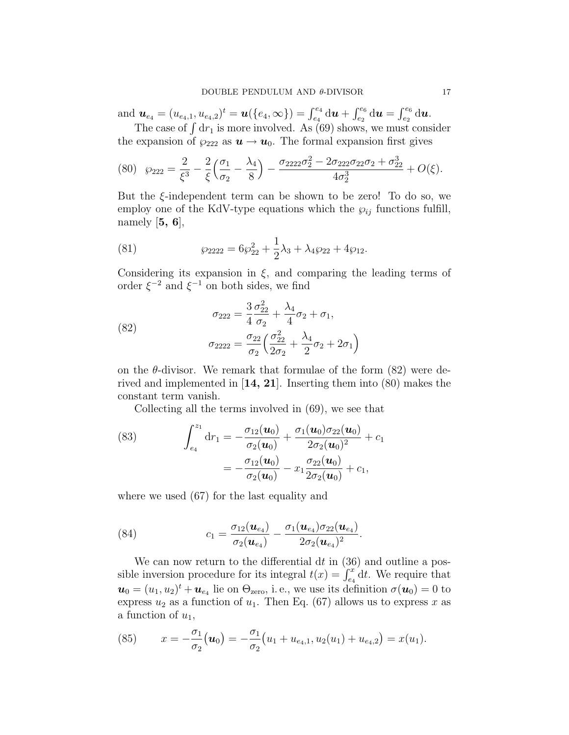$\text{and} \ \ \bm{u}_{e_4} = (u_{e_4,1}, u_{e_4,2})^t = \bm{u}(\{e_4,\infty\}) = \int_{e_4}^{e_4} \mathrm{d} \bm{u} + \int_{e_2}^{e_6} \mathrm{d} \bm{u} = \int_{e_2}^{e_6} \mathrm{d} \bm{u}.$ 

The case of  $\int dr_1$  is more involved. As (69) shows, we must consider the expansion of  $\wp_{222}$  as  $u \to u_0$ . The formal expansion first gives

$$
(80) \quad \wp_{222} = \frac{2}{\xi^3} - \frac{2}{\xi} \left( \frac{\sigma_1}{\sigma_2} - \frac{\lambda_4}{8} \right) - \frac{\sigma_{2222} \sigma_2^2 - 2 \sigma_{222} \sigma_{22} \sigma_2 + \sigma_{22}^3}{4 \sigma_2^3} + O(\xi).
$$

But the  $\xi$ -independent term can be shown to be zero! To do so, we employ one of the KdV-type equations which the  $\wp_{ij}$  functions fulfill, namely  $[5, 6]$ ,

(81) 
$$
\wp_{2222} = 6\wp_{22}^2 + \frac{1}{2}\lambda_3 + \lambda_4\wp_{22} + 4\wp_{12}.
$$

Considering its expansion in  $\xi$ , and comparing the leading terms of order  $\xi^{-2}$  and  $\xi^{-1}$  on both sides, we find

(82) 
$$
\sigma_{222} = \frac{3}{4} \frac{\sigma_{22}^2}{\sigma_2} + \frac{\lambda_4}{4} \sigma_2 + \sigma_1,
$$

$$
\sigma_{2222} = \frac{\sigma_{22}}{\sigma_2} \left( \frac{\sigma_{22}^2}{2\sigma_2} + \frac{\lambda_4}{2} \sigma_2 + 2\sigma_1 \right)
$$

on the  $\theta$ -divisor. We remark that formulae of the form  $(82)$  were derived and implemented in  $[14, 21]$ . Inserting them into  $(80)$  makes the constant term vanish.

Collecting all the terms involved in (69), we see that

(83) 
$$
\int_{e_4}^{z_1} dr_1 = -\frac{\sigma_{12}(\boldsymbol{u}_0)}{\sigma_2(\boldsymbol{u}_0)} + \frac{\sigma_1(\boldsymbol{u}_0)\sigma_{22}(\boldsymbol{u}_0)}{2\sigma_2(\boldsymbol{u}_0)^2} + c_1 = -\frac{\sigma_{12}(\boldsymbol{u}_0)}{\sigma_2(\boldsymbol{u}_0)} - x_1 \frac{\sigma_{22}(\boldsymbol{u}_0)}{2\sigma_2(\boldsymbol{u}_0)} + c_1,
$$

where we used (67) for the last equality and

(84) 
$$
c_1 = \frac{\sigma_{12}(\boldsymbol{u}_{e_4})}{\sigma_2(\boldsymbol{u}_{e_4})} - \frac{\sigma_1(\boldsymbol{u}_{e_4})\sigma_{22}(\boldsymbol{u}_{e_4})}{2\sigma_2(\boldsymbol{u}_{e_4})^2}.
$$

We can now return to the differential  $dt$  in  $(36)$  and outline a possible inversion procedure for its integral  $t(x) = \int_{e_4}^x dt$ . We require that  $\mathbf{u}_0 = (u_1, u_2)^t + \mathbf{u}_{e_4}$  lie on  $\Theta_{\text{zero}}$ , i.e., we use its definition  $\sigma(\mathbf{u}_0) = 0$  to express  $u_2$  as a function of  $u_1$ . Then Eq. (67) allows us to express x as a function of  $u_1$ ,

(85) 
$$
x = -\frac{\sigma_1}{\sigma_2}(\boldsymbol{u}_0) = -\frac{\sigma_1}{\sigma_2}(u_1 + u_{e_4,1}, u_2(u_1) + u_{e_4,2}) = x(u_1).
$$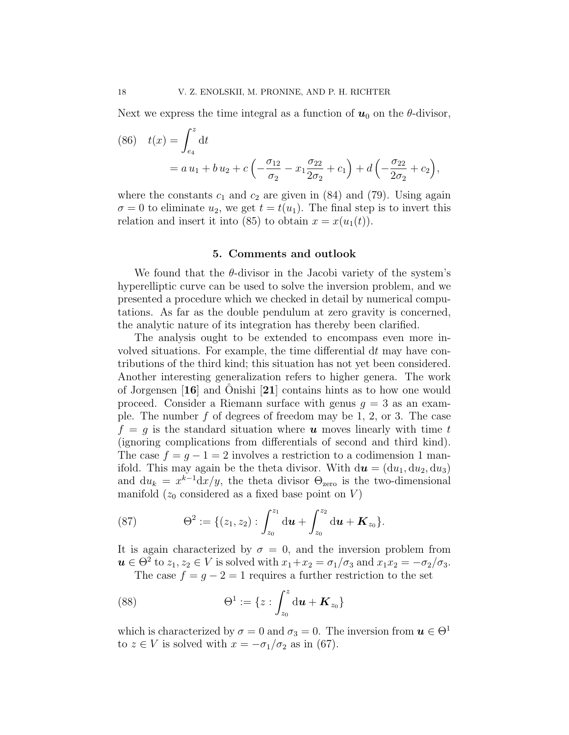Next we express the time integral as a function of  $u_0$  on the  $\theta$ -divisor,

(86) 
$$
t(x) = \int_{e_4}^{z} dt
$$
  
=  $a u_1 + b u_2 + c \left( -\frac{\sigma_{12}}{\sigma_2} - x_1 \frac{\sigma_{22}}{2\sigma_2} + c_1 \right) + d \left( -\frac{\sigma_{22}}{2\sigma_2} + c_2 \right),$ 

where the constants  $c_1$  and  $c_2$  are given in (84) and (79). Using again  $\sigma = 0$  to eliminate  $u_2$ , we get  $t = t(u_1)$ . The final step is to invert this relation and insert it into (85) to obtain  $x = x(u_1(t))$ .

#### 5. Comments and outlook

We found that the  $\theta$ -divisor in the Jacobi variety of the system's hyperelliptic curve can be used to solve the inversion problem, and we presented a procedure which we checked in detail by numerical computations. As far as the double pendulum at zero gravity is concerned, the analytic nature of its integration has thereby been clarified.

The analysis ought to be extended to encompass even more involved situations. For example, the time differential  $dt$  may have contributions of the third kind; this situation has not yet been considered. Another interesting generalization refers to higher genera. The work of Jorgensen  $\mathbf{16}$  and Onishi  $\mathbf{21}$  contains hints as to how one would proceed. Consider a Riemann surface with genus  $g = 3$  as an example. The number  $f$  of degrees of freedom may be 1, 2, or 3. The case  $f = q$  is the standard situation where **u** moves linearly with time t (ignoring complications from differentials of second and third kind). The case  $f = g - 1 = 2$  involves a restriction to a codimension 1 manifold. This may again be the theta divisor. With  $d\mathbf{u} = (du_1, du_2, du_3)$ and  $du_k = x^{k-1}dx/y$ , the theta divisor  $\Theta_{\text{zero}}$  is the two-dimensional manifold  $(z_0 \text{ considered as a fixed base point on } V)$ 

(87) 
$$
\Theta^2 := \{ (z_1, z_2) : \int_{z_0}^{z_1} \mathrm{d} \boldsymbol{u} + \int_{z_0}^{z_2} \mathrm{d} \boldsymbol{u} + \boldsymbol{K}_{z_0} \}.
$$

It is again characterized by  $\sigma = 0$ , and the inversion problem from  $u \in \Theta^2$  to  $z_1, z_2 \in V$  is solved with  $x_1 + x_2 = \sigma_1/\sigma_3$  and  $x_1x_2 = -\sigma_2/\sigma_3$ .

The case  $f = g - 2 = 1$  requires a further restriction to the set

(88) 
$$
\Theta^{1} := \{ z : \int_{z_{0}}^{z} d\mathbf{u} + \mathbf{K}_{z_{0}} \}
$$

which is characterized by  $\sigma = 0$  and  $\sigma_3 = 0$ . The inversion from  $u \in \Theta^1$ to  $z \in V$  is solved with  $x = -\sigma_1/\sigma_2$  as in (67).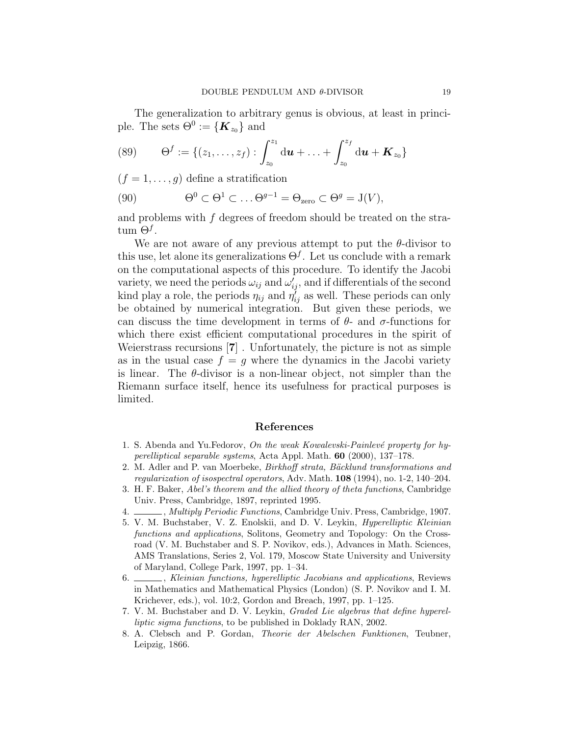The generalization to arbitrary genus is obvious, at least in principle. The sets  $\Theta^0 := \{ \boldsymbol{K}_{z_0} \}$  and

(89) 
$$
\Theta^f := \{(z_1,\ldots,z_f): \int_{z_0}^{z_1} d\mathbf{u} + \ldots + \int_{z_0}^{z_f} d\mathbf{u} + \mathbf{K}_{z_0}\}
$$

 $(f = 1, \ldots, g)$  define a stratification

(90) 
$$
\Theta^0 \subset \Theta^1 \subset \ldots \Theta^{g-1} = \Theta_{\text{zero}} \subset \Theta^g = J(V),
$$

and problems with f degrees of freedom should be treated on the stra- $\tan \Theta^f$ .

We are not aware of any previous attempt to put the  $\theta$ -divisor to this use, let alone its generalizations  $\Theta^f$ . Let us conclude with a remark on the computational aspects of this procedure. To identify the Jacobi variety, we need the periods  $\omega_{ij}$  and  $\omega'_{ij}$ , and if differentials of the second kind play a role, the periods  $\eta_{ij}$  and  $\eta'_{ij}$  as well. These periods can only be obtained by numerical integration. But given these periods, we can discuss the time development in terms of  $\theta$ - and  $\sigma$ -functions for which there exist efficient computational procedures in the spirit of Weierstrass recursions [7] . Unfortunately, the picture is not as simple as in the usual case  $f = g$  where the dynamics in the Jacobi variety is linear. The  $\theta$ -divisor is a non-linear object, not simpler than the Riemann surface itself, hence its usefulness for practical purposes is limited.

# References

- 1. S. Abenda and Yu.Fedorov, On the weak Kowalevski-Painlevé property for hyperelliptical separable systems, Acta Appl. Math. 60 (2000), 137–178.
- 2. M. Adler and P. van Moerbeke, Birkhoff strata, Bäcklund transformations and regularization of isospectral operators, Adv. Math. 108 (1994), no. 1-2, 140–204.
- 3. H. F. Baker, Abel's theorem and the allied theory of theta functions, Cambridge Univ. Press, Cambridge, 1897, reprinted 1995.
- $\qquad \qquad$ , Multiply Periodic Functions, Cambridge Univ. Press, Cambridge, 1907.
- 5. V. M. Buchstaber, V. Z. Enolskii, and D. V. Leykin, Hyperelliptic Kleinian functions and applications, Solitons, Geometry and Topology: On the Crossroad (V. M. Buchstaber and S. P. Novikov, eds.), Advances in Math. Sciences, AMS Translations, Series 2, Vol. 179, Moscow State University and University of Maryland, College Park, 1997, pp. 1–34.
- 6. Kleinian functions, hyperelliptic Jacobians and applications, Reviews in Mathematics and Mathematical Physics (London) (S. P. Novikov and I. M. Krichever, eds.), vol. 10:2, Gordon and Breach, 1997, pp. 1–125.
- 7. V. M. Buchstaber and D. V. Leykin, Graded Lie algebras that define hyperelliptic sigma functions, to be published in Doklady RAN, 2002.
- 8. A. Clebsch and P. Gordan, Theorie der Abelschen Funktionen, Teubner, Leipzig, 1866.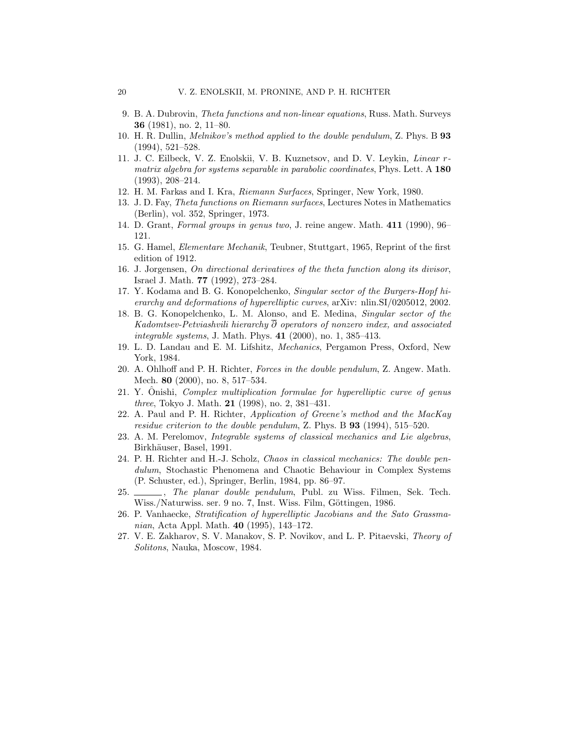- 9. B. A. Dubrovin, Theta functions and non-linear equations, Russ. Math. Surveys 36 (1981), no. 2, 11–80.
- 10. H. R. Dullin, Melnikov's method applied to the double pendulum, Z. Phys. B 93 (1994), 521–528.
- 11. J. C. Eilbeck, V. Z. Enolskii, V. B. Kuznetsov, and D. V. Leykin, Linear rmatrix algebra for systems separable in parabolic coordinates, Phys. Lett. A 180 (1993), 208–214.
- 12. H. M. Farkas and I. Kra, Riemann Surfaces, Springer, New York, 1980.
- 13. J. D. Fay, Theta functions on Riemann surfaces, Lectures Notes in Mathematics (Berlin), vol. 352, Springer, 1973.
- 14. D. Grant, Formal groups in genus two, J. reine angew. Math. 411 (1990), 96– 121.
- 15. G. Hamel, Elementare Mechanik, Teubner, Stuttgart, 1965, Reprint of the first edition of 1912.
- 16. J. Jorgensen, On directional derivatives of the theta function along its divisor, Israel J. Math. 77 (1992), 273–284.
- 17. Y. Kodama and B. G. Konopelchenko, Singular sector of the Burgers-Hopf hierarchy and deformations of hyperelliptic curves, arXiv: nlin.SI/0205012, 2002.
- 18. B. G. Konopelchenko, L. M. Alonso, and E. Medina, Singular sector of the Kadomtsev-Petviashvili hierarchy  $\overline{\partial}$  operators of nonzero index, and associated integrable systems, J. Math. Phys. 41 (2000), no. 1, 385–413.
- 19. L. D. Landau and E. M. Lifshitz, Mechanics, Pergamon Press, Oxford, New York, 1984.
- 20. A. Ohlhoff and P. H. Richter, Forces in the double pendulum, Z. Angew. Math. Mech. 80 (2000), no. 8, 517–534.
- 21. Y. Onishi, *Complex multiplication formulae for hyperelliptic curve of genus* three, Tokyo J. Math. 21 (1998), no. 2, 381–431.
- 22. A. Paul and P. H. Richter, Application of Greene's method and the MacKay residue criterion to the double pendulum, Z. Phys. B  $93$  (1994), 515–520.
- 23. A. M. Perelomov, Integrable systems of classical mechanics and Lie algebras, Birkhäuser, Basel, 1991.
- 24. P. H. Richter and H.-J. Scholz, Chaos in classical mechanics: The double pendulum, Stochastic Phenomena and Chaotic Behaviour in Complex Systems (P. Schuster, ed.), Springer, Berlin, 1984, pp. 86–97.
- 25.  $\_\_\_\_\_\$ . The planar double pendulum, Publ. zu Wiss. Filmen, Sek. Tech. Wiss./Naturwiss. ser. 9 no. 7, Inst. Wiss. Film, Göttingen, 1986.
- 26. P. Vanhaecke, Stratification of hyperelliptic Jacobians and the Sato Grassmanian, Acta Appl. Math. 40 (1995), 143–172.
- 27. V. E. Zakharov, S. V. Manakov, S. P. Novikov, and L. P. Pitaevski, Theory of Solitons, Nauka, Moscow, 1984.